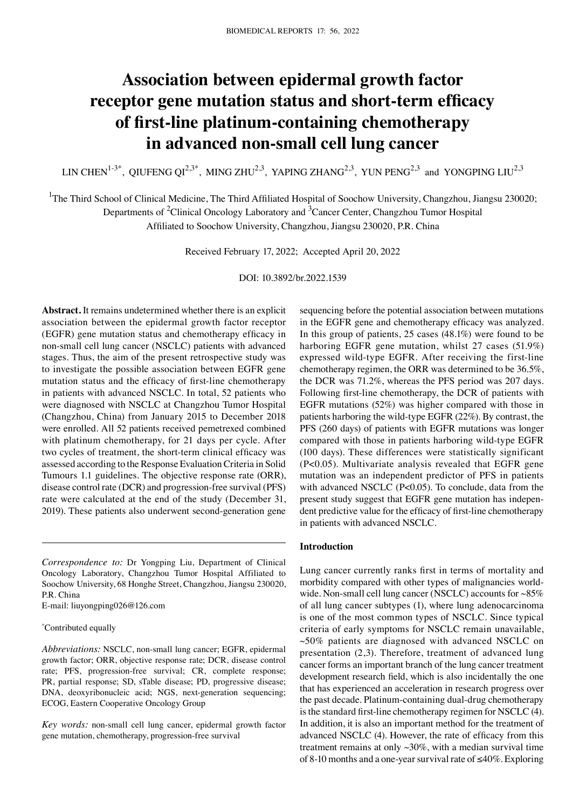# **Association between epidermal growth factor receptor gene mutation status and short‑term efficacy of first‑line platinum‑containing chemotherapy in advanced non‑small cell lung cancer**

LIN CHEN<sup>1-3\*</sup>, QIUFENG QI<sup>2,3\*</sup>, MING ZHU<sup>2,3</sup>, YAPING ZHANG<sup>2,3</sup>, YUN PENG<sup>2,3</sup> and YONGPING LIU<sup>2,3</sup>

<sup>1</sup>The Third School of Clinical Medicine, The Third Affiliated Hospital of Soochow University, Changzhou, Jiangsu 230020;

Departments of <sup>2</sup>Clinical Oncology Laboratory and <sup>3</sup>Cancer Center, Changzhou Tumor Hospital

Affiliated to Soochow University, Changzhou, Jiangsu 230020, P.R. China

Received February 17, 2022; Accepted April 20, 2022

DOI: 10.3892/br.2022.1539

**Abstract.** It remains undetermined whether there is an explicit association between the epidermal growth factor receptor (EGFR) gene mutation status and chemotherapy efficacy in non‑small cell lung cancer (NSCLC) patients with advanced stages. Thus, the aim of the present retrospective study was to investigate the possible association between EGFR gene mutation status and the efficacy of first-line chemotherapy in patients with advanced NSCLC. In total, 52 patients who were diagnosed with NSCLC at Changzhou Tumor Hospital (Changzhou, China) from January 2015 to December 2018 were enrolled. All 52 patients received pemetrexed combined with platinum chemotherapy, for 21 days per cycle. After two cycles of treatment, the short-term clinical efficacy was assessed according to the Response Evaluation Criteria in Solid Tumours 1.1 guidelines. The objective response rate (ORR), disease control rate (DCR) and progression‑free survival (PFS) rate were calculated at the end of the study (December 31, 2019). These patients also underwent second‑generation gene

E‑mail: liuyongping026@126.com

## \* Contributed equally

*Abbreviations:* NSCLC, non‑small lung cancer; EGFR, epidermal growth factor; ORR, objective response rate; DCR, disease control rate; PFS, progression-free survival; CR, complete response; PR, partial response; SD, sTable disease; PD, progressive disease; DNA, deoxyribonucleic acid; NGS, next-generation sequencing; ECOG, Eastern Cooperative Oncology Group

*Key words:* non‑small cell lung cancer, epidermal growth factor gene mutation, chemotherapy, progression-free survival

sequencing before the potential association between mutations in the EGFR gene and chemotherapy efficacy was analyzed. In this group of patients, 25 cases (48.1%) were found to be harboring EGFR gene mutation, whilst 27 cases (51.9%) expressed wild-type EGFR. After receiving the first-line chemotherapy regimen, the ORR was determined to be 36.5%, the DCR was 71.2%, whereas the PFS period was 207 days. Following first-line chemotherapy, the DCR of patients with EGFR mutations (52%) was higher compared with those in patients harboring the wild‑type EGFR (22%). By contrast, the PFS (260 days) of patients with EGFR mutations was longer compared with those in patients harboring wild‑type EGFR (100 days). These differences were statistically significant (P<0.05). Multivariate analysis revealed that EGFR gene mutation was an independent predictor of PFS in patients with advanced NSCLC (P<0.05). To conclude, data from the present study suggest that EGFR gene mutation has independent predictive value for the efficacy of first-line chemotherapy in patients with advanced NSCLC.

## **Introduction**

Lung cancer currently ranks first in terms of mortality and morbidity compared with other types of malignancies worldwide. Non-small cell lung cancer (NSCLC) accounts for  $~85\%$ of all lung cancer subtypes (1), where lung adenocarcinoma is one of the most common types of NSCLC. Since typical criteria of early symptoms for NSCLC remain unavailable,  $\sim$ 50% patients are diagnosed with advanced NSCLC on presentation (2,3). Therefore, treatment of advanced lung cancer forms an important branch of the lung cancer treatment development research field, which is also incidentally the one that has experienced an acceleration in research progress over the past decade. Platinum‑containing dual‑drug chemotherapy is the standard first-line chemotherapy regimen for NSCLC (4). In addition, it is also an important method for the treatment of advanced NSCLC (4). However, the rate of efficacy from this treatment remains at only  $\sim$ 30%, with a median survival time of 8‑10 months and a one‑year survival rate of ≤40%. Exploring

*Correspondence to:* Dr Yongping Liu, Department of Clinical Oncology Laboratory, Changzhou Tumor Hospital Affiliated to Soochow University, 68 Honghe Street, Changzhou, Jiangsu 230020, P.R. China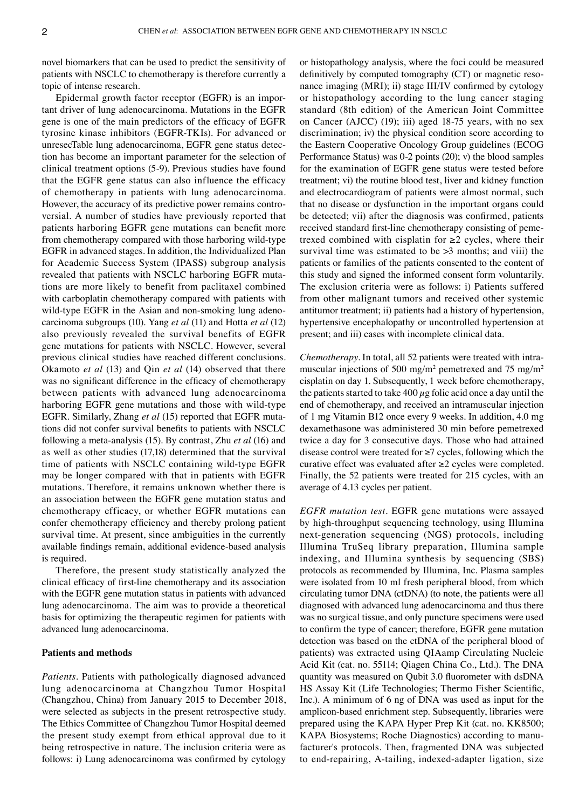novel biomarkers that can be used to predict the sensitivity of patients with NSCLC to chemotherapy is therefore currently a topic of intense research.

Epidermal growth factor receptor (EGFR) is an important driver of lung adenocarcinoma. Mutations in the EGFR gene is one of the main predictors of the efficacy of EGFR tyrosine kinase inhibitors (EGFR‑TKIs). For advanced or unresecTable lung adenocarcinoma, EGFR gene status detection has become an important parameter for the selection of clinical treatment options (5‑9). Previous studies have found that the EGFR gene status can also influence the efficacy of chemotherapy in patients with lung adenocarcinoma. However, the accuracy of its predictive power remains controversial. A number of studies have previously reported that patients harboring EGFR gene mutations can benefit more from chemotherapy compared with those harboring wild-type EGFR in advanced stages. In addition, the Individualized Plan for Academic Success System (IPASS) subgroup analysis revealed that patients with NSCLC harboring EGFR mutations are more likely to benefit from paclitaxel combined with carboplatin chemotherapy compared with patients with wild-type EGFR in the Asian and non-smoking lung adenocarcinoma subgroups (10). Yang *et al* (11) and Hotta *et al* (12) also previously revealed the survival benefits of EGFR gene mutations for patients with NSCLC. However, several previous clinical studies have reached different conclusions. Okamoto *et al* (13) and Qin *et al* (14) observed that there was no significant difference in the efficacy of chemotherapy between patients with advanced lung adenocarcinoma harboring EGFR gene mutations and those with wild-type EGFR. Similarly, Zhang *et al* (15) reported that EGFR muta‑ tions did not confer survival benefits to patients with NSCLC following a meta‑analysis (15). By contrast, Zhu *et al* (16) and as well as other studies (17,18) determined that the survival time of patients with NSCLC containing wild-type EGFR may be longer compared with that in patients with EGFR mutations. Therefore, it remains unknown whether there is an association between the EGFR gene mutation status and chemotherapy efficacy, or whether EGFR mutations can confer chemotherapy efficiency and thereby prolong patient survival time. At present, since ambiguities in the currently available findings remain, additional evidence‑based analysis is required.

Therefore, the present study statistically analyzed the clinical efficacy of first‑line chemotherapy and its association with the EGFR gene mutation status in patients with advanced lung adenocarcinoma. The aim was to provide a theoretical basis for optimizing the therapeutic regimen for patients with advanced lung adenocarcinoma.

# **Patients and methods**

*Patients.* Patients with pathologically diagnosed advanced lung adenocarcinoma at Changzhou Tumor Hospital (Changzhou, China) from January 2015 to December 2018, were selected as subjects in the present retrospective study. The Ethics Committee of Changzhou Tumor Hospital deemed the present study exempt from ethical approval due to it being retrospective in nature. The inclusion criteria were as follows: i) Lung adenocarcinoma was confirmed by cytology or histopathology analysis, where the foci could be measured definitively by computed tomography (CT) or magnetic resonance imaging (MRI); ii) stage III/IV confirmed by cytology or histopathology according to the lung cancer staging standard (8th edition) of the American Joint Committee on Cancer (AJCC) (19); iii) aged 18‑75 years, with no sex discrimination; iv) the physical condition score according to the Eastern Cooperative Oncology Group guidelines (ECOG Performance Status) was 0‑2 points (20); v) the blood samples for the examination of EGFR gene status were tested before treatment; vi) the routine blood test, liver and kidney function and electrocardiogram of patients were almost normal, such that no disease or dysfunction in the important organs could be detected; vii) after the diagnosis was confirmed, patients received standard first-line chemotherapy consisting of pemetrexed combined with cisplatin for  $\geq 2$  cycles, where their survival time was estimated to be  $>3$  months; and viii) the patients or families of the patients consented to the content of this study and signed the informed consent form voluntarily. The exclusion criteria were as follows: i) Patients suffered from other malignant tumors and received other systemic antitumor treatment; ii) patients had a history of hypertension, hypertensive encephalopathy or uncontrolled hypertension at present; and iii) cases with incomplete clinical data.

*Chemotherapy*. In total, all 52 patients were treated with intramuscular injections of 500 mg/m<sup>2</sup> pemetrexed and 75 mg/m<sup>2</sup> cisplatin on day 1. Subsequently, 1 week before chemotherapy, the patients started to take  $400 \mu$ g folic acid once a day until the end of chemotherapy, and received an intramuscular injection of 1 mg Vitamin B12 once every 9 weeks. In addition, 4.0 mg dexamethasone was administered 30 min before pemetrexed twice a day for 3 consecutive days. Those who had attained disease control were treated for ≥7 cycles, following which the curative effect was evaluated after ≥2 cycles were completed. Finally, the 52 patients were treated for 215 cycles, with an average of 4.13 cycles per patient.

*EGFR mutation test.* EGFR gene mutations were assayed by high-throughput sequencing technology, using Illumina next‑generation sequencing (NGS) protocols, including Illumina TruSeq library preparation, Illumina sample indexing, and Illumina synthesis by sequencing (SBS) protocols as recommended by Illumina, Inc. Plasma samples were isolated from 10 ml fresh peripheral blood, from which circulating tumor DNA (ctDNA) (to note, the patients were all diagnosed with advanced lung adenocarcinoma and thus there was no surgical tissue, and only puncture specimens were used to confirm the type of cancer; therefore, EGFR gene mutation detection was based on the ctDNA of the peripheral blood of patients) was extracted using QIAamp Circulating Nucleic Acid Kit (cat. no. 55114; Qiagen China Co., Ltd.). The DNA quantity was measured on Qubit 3.0 fluorometer with dsDNA HS Assay Kit (Life Technologies; Thermo Fisher Scientific, Inc.). A minimum of 6 ng of DNA was used as input for the amplicon-based enrichment step. Subsequently, libraries were prepared using the KAPA Hyper Prep Kit (cat. no. KK8500; KAPA Biosystems; Roche Diagnostics) according to manufacturer's protocols. Then, fragmented DNA was subjected to end‑repairing, A‑tailing, indexed‑adapter ligation, size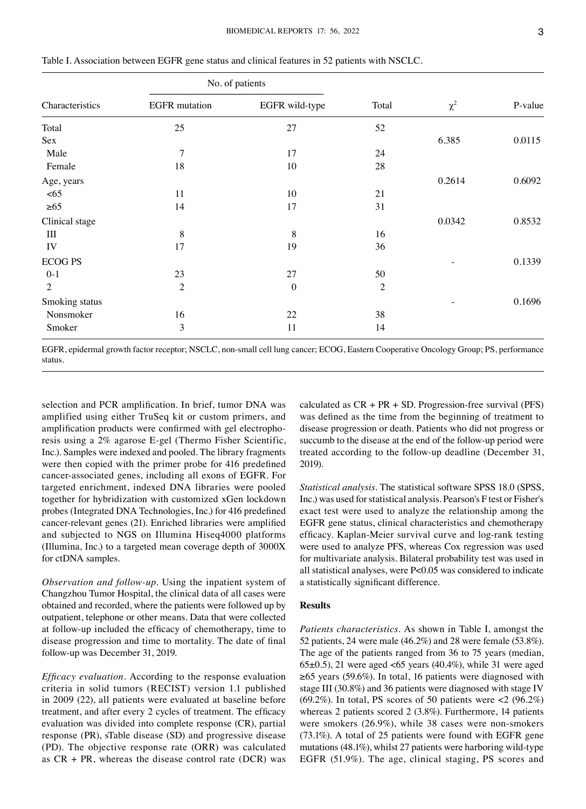| Characteristics | No. of patients      |                  |                |          |         |
|-----------------|----------------------|------------------|----------------|----------|---------|
|                 | <b>EGFR</b> mutation | EGFR wild-type   | Total          | $\chi^2$ | P-value |
| Total           | 25                   | 27               | 52             |          |         |
| Sex             |                      |                  |                | 6.385    | 0.0115  |
| Male            | 7                    | 17               | 24             |          |         |
| Female          | 18                   | 10               | 28             |          |         |
| Age, years      |                      |                  |                | 0.2614   | 0.6092  |
| <65             | 11                   | 10               | 21             |          |         |
| $\geq 65$       | 14                   | 17               | 31             |          |         |
| Clinical stage  |                      |                  |                | 0.0342   | 0.8532  |
| Ш               | 8                    | 8                | 16             |          |         |
| IV              | 17                   | 19               | 36             |          |         |
| <b>ECOG PS</b>  |                      |                  |                |          | 0.1339  |
| $0-1$           | 23                   | 27               | 50             |          |         |
| 2               | $\mathfrak{2}$       | $\boldsymbol{0}$ | $\mathfrak{2}$ |          |         |
| Smoking status  |                      |                  |                |          | 0.1696  |
| Nonsmoker       | 16                   | 22               | 38             |          |         |
| Smoker          | 3                    | 11               | 14             |          |         |

Table I. Association between EGFR gene status and clinical features in 52 patients with NSCLC.

EGFR, epidermal growth factor receptor; NSCLC, non‑small cell lung cancer; ECOG, Eastern Cooperative Oncology Group; PS, performance status.

selection and PCR amplification. In brief, tumor DNA was amplified using either TruSeq kit or custom primers, and amplification products were confirmed with gel electrophoresis using a 2% agarose E‑gel (Thermo Fisher Scientific, Inc.). Samples were indexed and pooled. The library fragments were then copied with the primer probe for 416 predefined cancer‑associated genes, including all exons of EGFR. For targeted enrichment, indexed DNA libraries were pooled together for hybridization with customized xGen lockdown probes (Integrated DNA Technologies, Inc.) for 416 predefined cancer‑relevant genes (21). Enriched libraries were amplified and subjected to NGS on Illumina Hiseq4000 platforms (Illumina, Inc.) to a targeted mean coverage depth of 3000X for ctDNA samples.

*Observation and follow-up.* Using the inpatient system of Changzhou Tumor Hospital, the clinical data of all cases were obtained and recorded, where the patients were followed up by outpatient, telephone or other means. Data that were collected at follow‑up included the efficacy of chemotherapy, time to disease progression and time to mortality. The date of final follow‑up was December 31, 2019.

*Efficacy evaluation.* According to the response evaluation criteria in solid tumors (RECIST) version 1.1 published in 2009 (22), all patients were evaluated at baseline before treatment, and after every 2 cycles of treatment. The efficacy evaluation was divided into complete response (CR), partial response (PR), sTable disease (SD) and progressive disease (PD). The objective response rate (ORR) was calculated as  $CR + PR$ , whereas the disease control rate (DCR) was calculated as  $CR + PR + SD$ . Progression-free survival (PFS) was defined as the time from the beginning of treatment to disease progression or death. Patients who did not progress or succumb to the disease at the end of the follow-up period were treated according to the follow‑up deadline (December 31, 2019).

*Statistical analysis.* The statistical software SPSS 18.0 (SPSS, Inc.) was used for statistical analysis. Pearson's F test or Fisher's exact test were used to analyze the relationship among the EGFR gene status, clinical characteristics and chemotherapy efficacy. Kaplan-Meier survival curve and log-rank testing were used to analyze PFS, whereas Cox regression was used for multivariate analysis. Bilateral probability test was used in all statistical analyses, were P<0.05 was considered to indicate a statistically significant difference.

# **Results**

*Patients characteristics.* As shown in Table I, amongst the 52 patients, 24 were male (46.2%) and 28 were female (53.8%). The age of the patients ranged from 36 to 75 years (median,  $65\pm0.5$ ), 21 were aged <65 years (40.4%), while 31 were aged ≥65 years (59.6%). In total, 16 patients were diagnosed with stage III (30.8%) and 36 patients were diagnosed with stage IV (69.2%). In total, PS scores of 50 patients were  $\langle 2 (96.2\%)$ whereas 2 patients scored 2 (3.8%). Furthermore, 14 patients were smokers (26.9%), while 38 cases were non-smokers (73.1%). A total of 25 patients were found with EGFR gene mutations (48.1%), whilst 27 patients were harboring wild‑type EGFR (51.9%). The age, clinical staging, PS scores and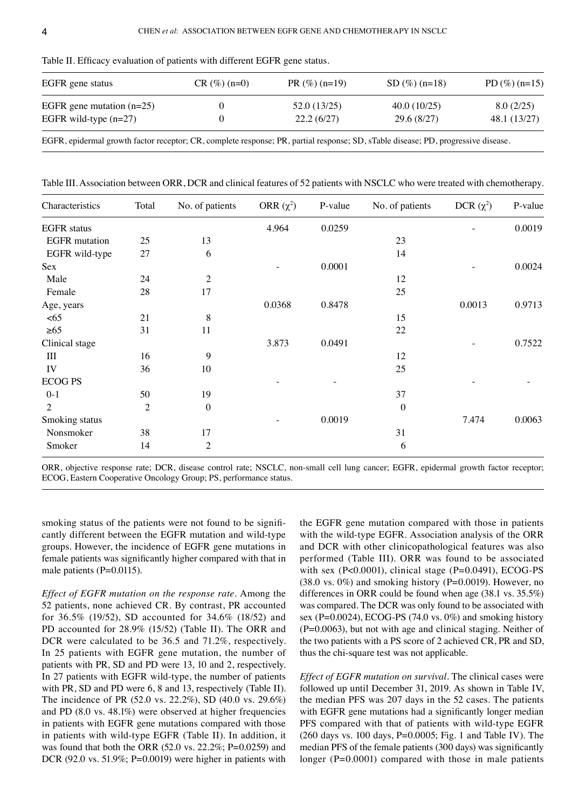| EGFR gene status            | $CR (\%) (n=0)$ | $PR(\%)(n=19)$ | $SD(%) (n=18)$ | PD $(\%)(n=15)$ |
|-----------------------------|-----------------|----------------|----------------|-----------------|
| EGFR gene mutation $(n=25)$ |                 | 52.0 (13/25)   | 40.0(10/25)    | 8.0(2/25)       |
| EGFR wild-type $(n=27)$     |                 | 22.2(6/27)     | 29.6(8/27)     | 48.1 (13/27)    |

Table II. Efficacy evaluation of patients with different EGFR gene status.

Table III. Association between ORR, DCR and clinical features of 52 patients with NSCLC who were treated with chemotherapy.

| Characteristics      | Total          | No. of patients  | ORR $(\chi^2)$ | P-value | No. of patients  | DCR $(\chi^2)$ | P-value |
|----------------------|----------------|------------------|----------------|---------|------------------|----------------|---------|
| <b>EGFR</b> status   |                |                  | 4.964          | 0.0259  |                  |                | 0.0019  |
| <b>EGFR</b> mutation | 25             | 13               |                |         | 23               |                |         |
| EGFR wild-type       | 27             | 6                |                |         | 14               |                |         |
| Sex                  |                |                  |                | 0.0001  |                  |                | 0.0024  |
| Male                 | 24             | $\mathfrak{2}$   |                |         | 12               |                |         |
| Female               | 28             | 17               |                |         | 25               |                |         |
| Age, years           |                |                  | 0.0368         | 0.8478  |                  | 0.0013         | 0.9713  |
| <65                  | 21             | 8                |                |         | 15               |                |         |
| $\geq 65$            | 31             | 11               |                |         | 22               |                |         |
| Clinical stage       |                |                  | 3.873          | 0.0491  |                  |                | 0.7522  |
| Ш                    | 16             | $\overline{9}$   |                |         | 12               |                |         |
| IV                   | 36             | 10               |                |         | 25               |                |         |
| <b>ECOG PS</b>       |                |                  |                |         |                  |                |         |
| $0 - 1$              | 50             | 19               |                |         | 37               |                |         |
| 2                    | $\overline{2}$ | $\boldsymbol{0}$ |                |         | $\boldsymbol{0}$ |                |         |
| Smoking status       |                |                  |                | 0.0019  |                  | 7.474          | 0.0063  |
| Nonsmoker            | 38             | 17               |                |         | 31               |                |         |
| Smoker               | 14             | 2                |                |         | 6                |                |         |

ORR, objective response rate; DCR, disease control rate; NSCLC, non‑small cell lung cancer; EGFR, epidermal growth factor receptor; ECOG, Eastern Cooperative Oncology Group; PS, performance status.

smoking status of the patients were not found to be significantly different between the EGFR mutation and wild-type groups. However, the incidence of EGFR gene mutations in female patients was significantly higher compared with that in male patients (P=0.0115).

*Effect of EGFR mutation on the response rate.* Among the 52 patients, none achieved CR. By contrast, PR accounted for 36.5% (19/52), SD accounted for 34.6% (18/52) and PD accounted for 28.9% (15/52) (Table II). The ORR and DCR were calculated to be 36.5 and 71.2%, respectively. In 25 patients with EGFR gene mutation, the number of patients with PR, SD and PD were 13, 10 and 2, respectively. In 27 patients with EGFR wild-type, the number of patients with PR, SD and PD were 6, 8 and 13, respectively (Table II). The incidence of PR (52.0 vs. 22.2%), SD (40.0 vs. 29.6%) and PD (8.0 vs. 48.1%) were observed at higher frequencies in patients with EGFR gene mutations compared with those in patients with wild-type EGFR (Table II). In addition, it was found that both the ORR (52.0 vs. 22.2%; P=0.0259) and DCR (92.0 vs. 51.9%; P=0.0019) were higher in patients with the EGFR gene mutation compared with those in patients with the wild-type EGFR. Association analysis of the ORR and DCR with other clinicopathological features was also performed (Table III). ORR was found to be associated with sex (P<0.0001), clinical stage (P=0.0491), ECOG-PS  $(38.0 \text{ vs. } 0\%)$  and smoking history (P=0.0019). However, no differences in ORR could be found when age (38.1 vs. 35.5%) was compared. The DCR was only found to be associated with sex (P=0.0024), ECOG-PS (74.0 vs. 0%) and smoking history (P=0.0063), but not with age and clinical staging. Neither of the two patients with a PS score of 2 achieved CR, PR and SD, thus the chi‑square test was not applicable.

*Effect of EGFR mutation on survival.* The clinical cases were followed up until December 31, 2019. As shown in Table IV, the median PFS was 207 days in the 52 cases. The patients with EGFR gene mutations had a significantly longer median PFS compared with that of patients with wild-type EGFR (260 days vs. 100 days, P=0.0005; Fig. 1 and Table IV). The median PFS of the female patients (300 days) was significantly longer (P=0.0001) compared with those in male patients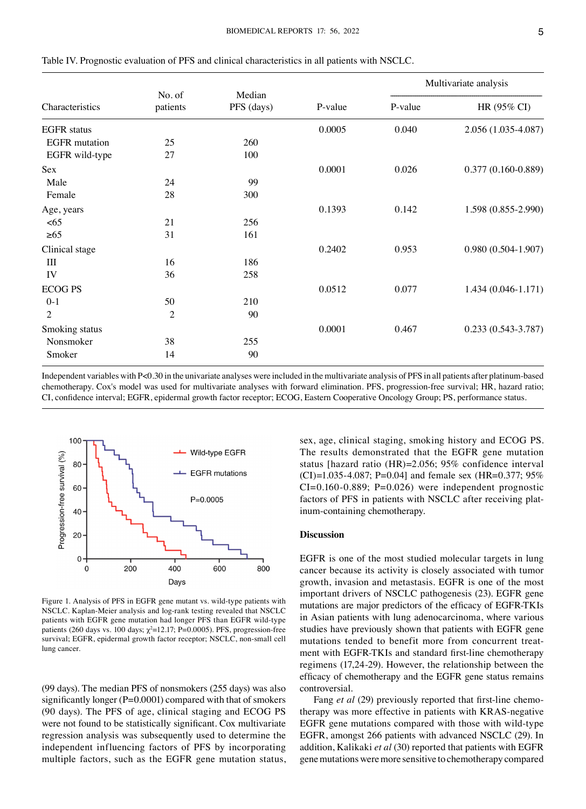|                      |                    |                      |         | Multivariate analysis |                        |  |
|----------------------|--------------------|----------------------|---------|-----------------------|------------------------|--|
| Characteristics      | No. of<br>patients | Median<br>PFS (days) | P-value | P-value               | HR (95% CI)            |  |
| <b>EGFR</b> status   |                    |                      | 0.0005  | 0.040                 | 2.056 (1.035-4.087)    |  |
| <b>EGFR</b> mutation | 25                 | 260                  |         |                       |                        |  |
| EGFR wild-type       | 27                 | 100                  |         |                       |                        |  |
| Sex                  |                    |                      | 0.0001  | 0.026                 | $0.377(0.160 - 0.889)$ |  |
| Male                 | 24                 | 99                   |         |                       |                        |  |
| Female               | 28                 | 300                  |         |                       |                        |  |
| Age, years           |                    |                      | 0.1393  | 0.142                 | 1.598 (0.855-2.990)    |  |
| <65                  | 21                 | 256                  |         |                       |                        |  |
| $\geq 65$            | 31                 | 161                  |         |                       |                        |  |
| Clinical stage       |                    |                      | 0.2402  | 0.953                 | $0.980(0.504-1.907)$   |  |
| Ш                    | 16                 | 186                  |         |                       |                        |  |
| IV                   | 36                 | 258                  |         |                       |                        |  |
| <b>ECOG PS</b>       |                    |                      | 0.0512  | 0.077                 | 1.434 (0.046-1.171)    |  |
| $0 - 1$              | 50                 | 210                  |         |                       |                        |  |
| $\overline{2}$       | $\overline{2}$     | 90                   |         |                       |                        |  |
| Smoking status       |                    |                      | 0.0001  | 0.467                 | $0.233(0.543 - 3.787)$ |  |
| Nonsmoker            | 38                 | 255                  |         |                       |                        |  |
| Smoker               | 14                 | 90                   |         |                       |                        |  |

Table IV. Prognostic evaluation of PFS and clinical characteristics in all patients with NSCLC.

Independent variables with P<0.30 in the univariate analyses were included in the multivariate analysis of PFS in all patients after platinum-based chemotherapy. Cox's model was used for multivariate analyses with forward elimination. PFS, progression‑free survival; HR, hazard ratio; CI, confidence interval; EGFR, epidermal growth factor receptor; ECOG, Eastern Cooperative Oncology Group; PS, performance status.



Figure 1. Analysis of PFS in EGFR gene mutant vs. wild-type patients with NSCLC. Kaplan-Meier analysis and log-rank testing revealed that NSCLC patients with EGFR gene mutation had longer PFS than EGFR wild-type patients (260 days vs. 100 days;  $\chi^2$ =12.17; P=0.0005). PFS, progression-free survival; EGFR, epidermal growth factor receptor; NSCLC, non-small cell lung cancer.

(99 days). The median PFS of nonsmokers (255 days) was also significantly longer (P=0.0001) compared with that of smokers (90 days). The PFS of age, clinical staging and ECOG PS were not found to be statistically significant. Cox multivariate regression analysis was subsequently used to determine the independent influencing factors of PFS by incorporating multiple factors, such as the EGFR gene mutation status, sex, age, clinical staging, smoking history and ECOG PS. The results demonstrated that the EGFR gene mutation status [hazard ratio (HR)=2.056; 95% confidence interval  $(CI)=1.035-4.087; P=0.04$ ] and female sex (HR=0.377; 95%)  $CI=0.160-0.889$ ; P=0.026) were independent prognostic factors of PFS in patients with NSCLC after receiving platinum‑containing chemotherapy.

## **Discussion**

EGFR is one of the most studied molecular targets in lung cancer because its activity is closely associated with tumor growth, invasion and metastasis. EGFR is one of the most important drivers of NSCLC pathogenesis (23). EGFR gene mutations are major predictors of the efficacy of EGFR‑TKIs in Asian patients with lung adenocarcinoma, where various studies have previously shown that patients with EGFR gene mutations tended to benefit more from concurrent treatment with EGFR-TKIs and standard first-line chemotherapy regimens (17,24‑29). However, the relationship between the efficacy of chemotherapy and the EGFR gene status remains controversial.

Fang *et al* (29) previously reported that first-line chemotherapy was more effective in patients with KRAS‑negative EGFR gene mutations compared with those with wild-type EGFR, amongst 266 patients with advanced NSCLC (29). In addition, Kalikaki *et al* (30) reported that patients with EGFR gene mutations were more sensitive to chemotherapy compared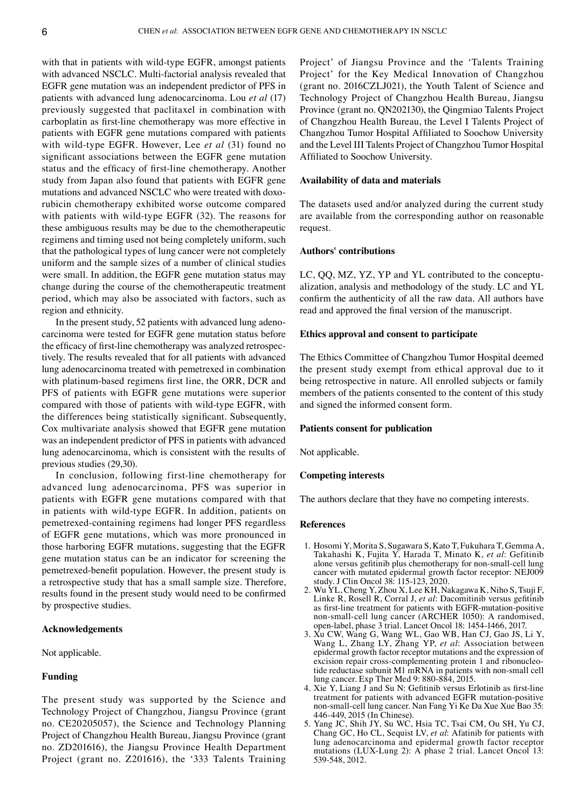with that in patients with wild-type EGFR, amongst patients with advanced NSCLC. Multi-factorial analysis revealed that EGFR gene mutation was an independent predictor of PFS in patients with advanced lung adenocarcinoma. Lou *et al* (17) previously suggested that paclitaxel in combination with carboplatin as first-line chemotherapy was more effective in patients with EGFR gene mutations compared with patients with wild‑type EGFR. However, Lee *et al* (31) found no significant associations between the EGFR gene mutation status and the efficacy of first‑line chemotherapy. Another study from Japan also found that patients with EGFR gene mutations and advanced NSCLC who were treated with doxorubicin chemotherapy exhibited worse outcome compared with patients with wild-type EGFR (32). The reasons for these ambiguous results may be due to the chemotherapeutic regimens and timing used not being completely uniform, such that the pathological types of lung cancer were not completely uniform and the sample sizes of a number of clinical studies were small. In addition, the EGFR gene mutation status may change during the course of the chemotherapeutic treatment period, which may also be associated with factors, such as region and ethnicity.

In the present study, 52 patients with advanced lung adenocarcinoma were tested for EGFR gene mutation status before the efficacy of first-line chemotherapy was analyzed retrospectively. The results revealed that for all patients with advanced lung adenocarcinoma treated with pemetrexed in combination with platinum-based regimens first line, the ORR, DCR and PFS of patients with EGFR gene mutations were superior compared with those of patients with wild‑type EGFR, with the differences being statistically significant. Subsequently, Cox multivariate analysis showed that EGFR gene mutation was an independent predictor of PFS in patients with advanced lung adenocarcinoma, which is consistent with the results of previous studies (29,30).

In conclusion, following first-line chemotherapy for advanced lung adenocarcinoma, PFS was superior in patients with EGFR gene mutations compared with that in patients with wild-type EGFR. In addition, patients on pemetrexed‑containing regimens had longer PFS regardless of EGFR gene mutations, which was more pronounced in those harboring EGFR mutations, suggesting that the EGFR gene mutation status can be an indicator for screening the pemetrexed-benefit population. However, the present study is a retrospective study that has a small sample size. Therefore, results found in the present study would need to be confirmed by prospective studies.

### **Acknowledgements**

Not applicable.

#### **Funding**

The present study was supported by the Science and Technology Project of Changzhou, Jiangsu Province (grant no. CE20205057), the Science and Technology Planning Project of Changzhou Health Bureau, Jiangsu Province (grant no. ZD201616), the Jiangsu Province Health Department Project (grant no. Z201616), the '333 Talents Training Project' of Jiangsu Province and the 'Talents Training Project' for the Key Medical Innovation of Changzhou (grant no. 2016CZLJ021), the Youth Talent of Science and Technology Project of Changzhou Health Bureau, Jiangsu Province (grant no. QN202130), the Qingmiao Talents Project of Changzhou Health Bureau, the Level I Talents Project of Changzhou Tumor Hospital Affiliated to Soochow University and the Level III Talents Project of Changzhou Tumor Hospital Affiliated to Soochow University.

# **Availability of data and materials**

The datasets used and/or analyzed during the current study are available from the corresponding author on reasonable request.

## **Authors' contributions**

LC, QQ, MZ, YZ, YP and YL contributed to the conceptualization, analysis and methodology of the study. LC and YL confirm the authenticity of all the raw data. All authors have read and approved the final version of the manuscript.

## **Ethics approval and consent to participate**

The Ethics Committee of Changzhou Tumor Hospital deemed the present study exempt from ethical approval due to it being retrospective in nature. All enrolled subjects or family members of the patients consented to the content of this study and signed the informed consent form.

## **Patients consent for publication**

Not applicable.

# **Competing interests**

The authors declare that they have no competing interests.

# **References**

- 1. Hosomi Y, Morita S, Sugawara S, Kato T, Fukuhara T, Gemma A, Takahashi K, Fujita Y, Harada T, Minato K, *et al*: Gefitinib alone versus gefitinib plus chemotherapy for non‑small‑cell lung cancer with mutated epidermal growth factor receptor: NEJ009 study. J Clin Oncol 38: 115‑123, 2020.
- 2. Wu YL, Cheng Y, Zhou X, Lee KH, Nakagawa K, Niho S, Tsuji F, Linke R, Rosell R, Corral J, *et al*: Dacomitinib versus gefitinib as first-line treatment for patients with EGFR-mutation-positive non‑small‑cell lung cancer (ARCHER 1050): A randomised, open‑label, phase 3 trial. Lancet Oncol 18: 1454‑1466, 2017.
- 3. Xu CW, Wang G, Wang WL, Gao WB, Han CJ, Gao JS, Li Y, Wang L, Zhang LY, Zhang YP, *et al*: Association between epidermal growth factor receptor mutations and the expression of excision repair cross-complementing protein 1 and ribonucleotide reductase subunit M1 mRNA in patients with non‑small cell lung cancer. Exp Ther Med 9: 880‑884, 2015.
- 4. Xie Y, Liang J and Su N: Gefitinib versus Erlotinib as first-line treatment for patients with advanced EGFR mutation‑positive non‑small‑cell lung cancer. Nan Fang Yi Ke Da Xue Xue Bao 35: 446‑449, 2015 (In Chinese).
- 5. Yang JC, Shih JY, Su WC, Hsia TC, Tsai CM, Ou SH, Yu CJ, Chang GC, Ho CL, Sequist LV, *et al*: Afatinib for patients with lung adenocarcinoma and epidermal growth factor receptor mutations (LUX‑Lung 2): A phase 2 trial. Lancet Oncol 13: 539‑548, 2012.